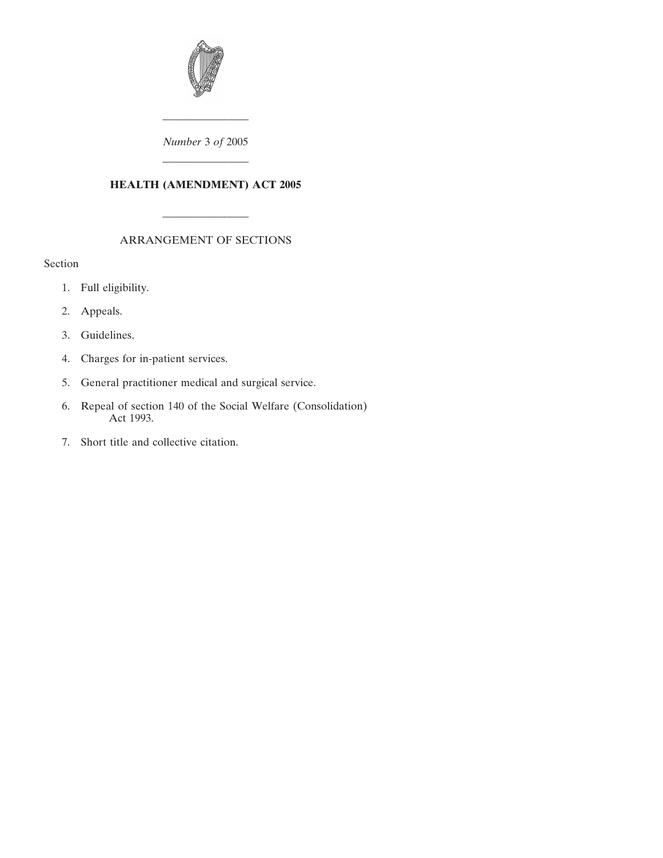

———————— *Number* 3 *of* 2005

### **HEALTH (AMENDMENT) ACT 2005**

————————

# ARRANGEMENT OF SECTIONS

————————

# Section

- [1. Full eligibility.](#page-2-0)
- [2. Appeals.](#page-2-0)
- [3. Guidelines.](#page-2-0)
- [4. Charges for in-patient services.](#page-2-0)
- [5. General practitioner medical and surgical service.](#page-4-0)
- [6. Repeal of section 140 of the Social Welfare \(Consolidation\)](#page-5-0) Act 1993.
- [7. Short title and collective citation.](#page-5-0)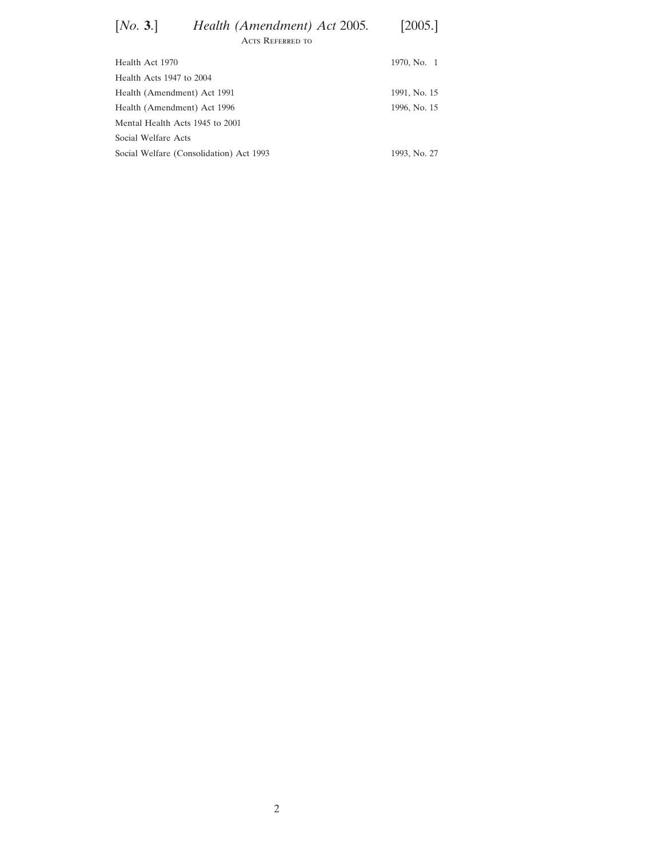| [No. 3.]                     | Health (Amendment) Act 2005. | [2005.]     |
|------------------------------|------------------------------|-------------|
|                              | ACTS REFERRED TO             |             |
| Health Act 1970              |                              | 1970, No. 1 |
| Haalth Acts $1047$ to $2004$ |                              |             |

| Health Acts $1947$ to $2004$            |              |
|-----------------------------------------|--------------|
| Health (Amendment) Act 1991             | 1991, No. 15 |
| Health (Amendment) Act 1996             | 1996, No. 15 |
| Mental Health Acts 1945 to 2001         |              |
| Social Welfare Acts                     |              |
| Social Welfare (Consolidation) Act 1993 | 1993, No. 27 |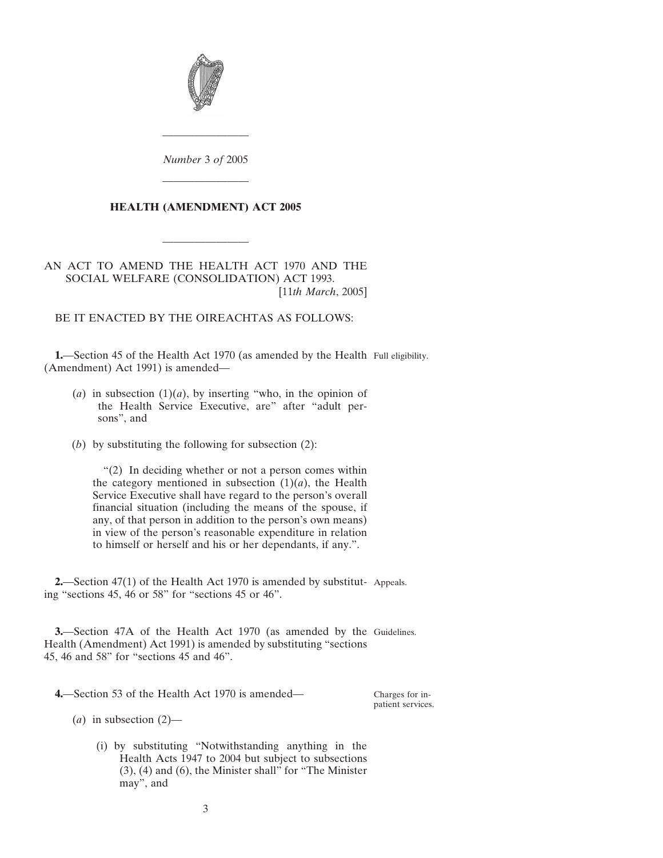<span id="page-2-0"></span>

*Number* 3 *of* 2005

————————

————————

### **HEALTH (AMENDMENT) ACT 2005**

————————

### AN ACT TO AMEND THE HEALTH ACT 1970 AND THE SOCIAL WELFARE (CONSOLIDATION) ACT 1993. [11*th March*, 2005]

BE IT ENACTED BY THE OIREACHTAS AS FOLLOWS:

**1.**—Section 45 of the Health Act 1970 (as amended by the Health Full eligibility. (Amendment) Act 1991) is amended—

- (*a*) in subsection  $(1)(a)$ , by inserting "who, in the opinion of the Health Service Executive, are" after "adult persons", and
- (*b*) by substituting the following for subsection (2):

"(2) In deciding whether or not a person comes within the category mentioned in subsection  $(1)(a)$ , the Health Service Executive shall have regard to the person's overall financial situation (including the means of the spouse, if any, of that person in addition to the person's own means) in view of the person's reasonable expenditure in relation to himself or herself and his or her dependants, if any.".

**2.**—Section 47(1) of the Health Act 1970 is amended by substitut- Appeals. ing "sections 45, 46 or 58" for "sections 45 or 46".

**3.**—Section 47A of the Health Act 1970 (as amended by the Guidelines. Health (Amendment) Act 1991) is amended by substituting "sections 45, 46 and 58" for "sections 45 and 46".

**4.**—Section 53 of the Health Act 1970 is amended—

Charges for inpatient services.

 $(a)$  in subsection  $(2)$ —

(i) by substituting "Notwithstanding anything in the Health Acts 1947 to 2004 but subject to subsections (3), (4) and (6), the Minister shall" for "The Minister may", and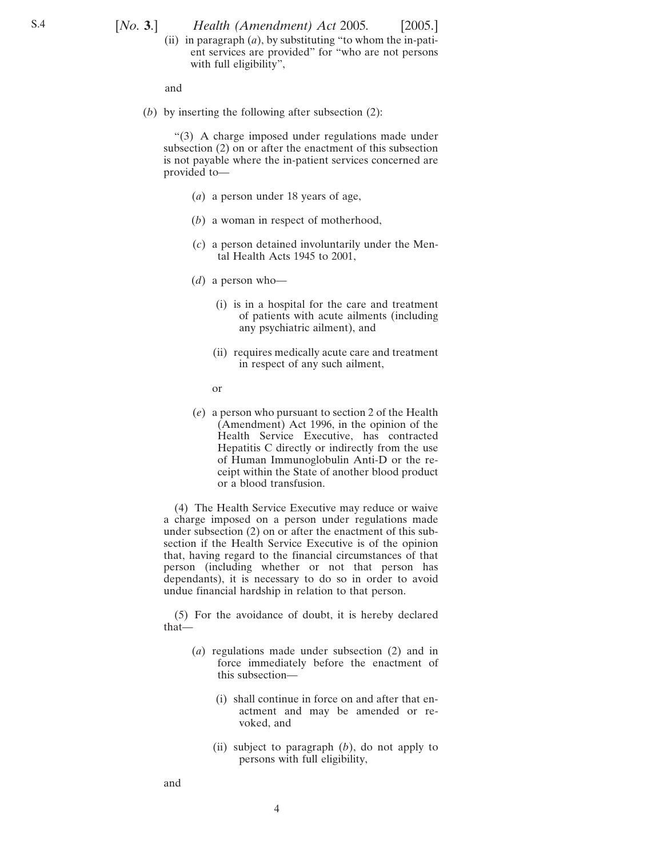[*No.* **3**.] [2005.] *Health (Amendment) Act* 2005*.*

(ii) in paragraph (*a*), by substituting "to whom the in-patient services are provided" for "who are not persons with full eligibility",

and

(*b*) by inserting the following after subsection (2):

"(3) A charge imposed under regulations made under subsection (2) on or after the enactment of this subsection is not payable where the in-patient services concerned are provided to—

- (*a*) a person under 18 years of age,
- (*b*) a woman in respect of motherhood,
- (*c*) a person detained involuntarily under the Mental Health Acts 1945 to 2001,
- (*d*) a person who—
	- (i) is in a hospital for the care and treatment of patients with acute ailments (including any psychiatric ailment), and
	- (ii) requires medically acute care and treatment in respect of any such ailment,
	- or
- (*e*) a person who pursuant to section 2 of the Health (Amendment) Act 1996, in the opinion of the Health Service Executive, has contracted Hepatitis C directly or indirectly from the use of Human Immunoglobulin Anti-D or the receipt within the State of another blood product or a blood transfusion.

(4) The Health Service Executive may reduce or waive a charge imposed on a person under regulations made under subsection (2) on or after the enactment of this subsection if the Health Service Executive is of the opinion that, having regard to the financial circumstances of that person (including whether or not that person has dependants), it is necessary to do so in order to avoid undue financial hardship in relation to that person.

(5) For the avoidance of doubt, it is hereby declared that—

- (*a*) regulations made under subsection (2) and in force immediately before the enactment of this subsection—
	- (i) shall continue in force on and after that enactment and may be amended or revoked, and
	- (ii) subject to paragraph (*b*), do not apply to persons with full eligibility,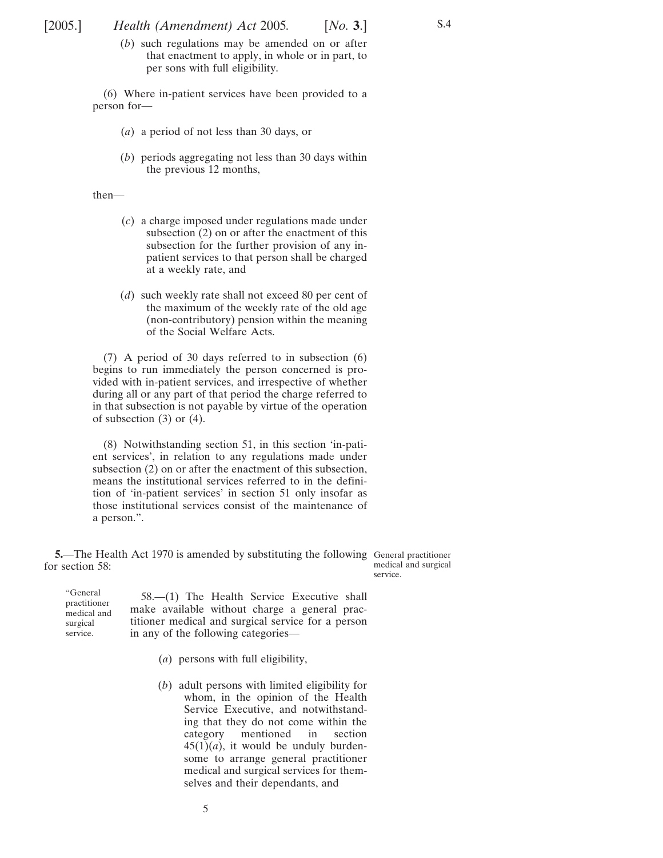<span id="page-4-0"></span>[2005.] [ *Health (Amendment) Act* 2005*. No.* **3**.]

(*b*) such regulations may be amended on or after that enactment to apply, in whole or in part, to per sons with full eligibility.

(6) Where in-patient services have been provided to a person for—

- (*a*) a period of not less than 30 days, or
- (*b*) periods aggregating not less than 30 days within the previous 12 months,

#### then—

- (*c*) a charge imposed under regulations made under subsection  $(2)$  on or after the enactment of this subsection for the further provision of any inpatient services to that person shall be charged at a weekly rate, and
- (*d*) such weekly rate shall not exceed 80 per cent of the maximum of the weekly rate of the old age (non-contributory) pension within the meaning of the Social Welfare Acts.

(7) A period of 30 days referred to in subsection (6) begins to run immediately the person concerned is provided with in-patient services, and irrespective of whether during all or any part of that period the charge referred to in that subsection is not payable by virtue of the operation of subsection  $(3)$  or  $(4)$ .

(8) Notwithstanding section 51, in this section 'in-patient services', in relation to any regulations made under subsection (2) on or after the enactment of this subsection, means the institutional services referred to in the definition of 'in-patient services' in section 51 only insofar as those institutional services consist of the maintenance of a person.".

**5.**—The Health Act 1970 is amended by substituting the following General practitioner for section 58:

medical and surgical service.

S.4

"General practitioner medical and surgical service. 58.—(1) The Health Service Executive shall

- make available without charge a general practitioner medical and surgical service for a person in any of the following categories—
	- (*a*) persons with full eligibility,
	- (*b*) adult persons with limited eligibility for whom, in the opinion of the Health Service Executive, and notwithstanding that they do not come within the category mentioned in section  $45(1)(a)$ , it would be unduly burdensome to arrange general practitioner medical and surgical services for themselves and their dependants, and